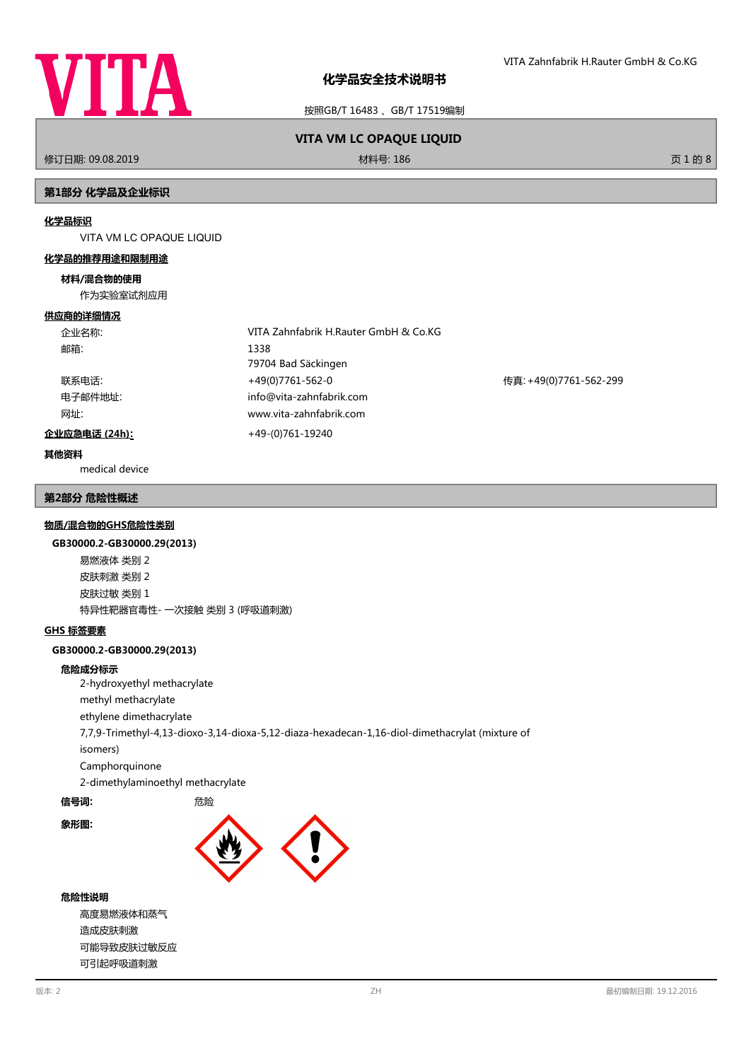

按照GB/T 16483 、GB/T 17519编制

## 修订日期: 09.08.2019 材料号: 186 页 1 的 8

# **VITA VM LC OPAQUE LIQUID**

### **第1部分 化学品及企业标识**

#### **化学品标识**

VITA VM LC OPAQUE LIQUID

#### **化学品的推荐用途和限制用途**

#### **材料/混合物的使用**

作为实验室试剂应用

#### **供应商的详细情况**

| 企业名称:         | VITA Zahnfabrik H.Rauter GmbH & Co.KG |                        |
|---------------|---------------------------------------|------------------------|
| 邮箱:           | 1338                                  |                        |
|               | 79704 Bad Säckingen                   |                        |
| 联系电话:         | +49(0)7761-562-0                      | 传真: +49(0)7761-562-299 |
| 电子邮件地址:       | info@vita-zahnfabrik.com              |                        |
| 网址:           | www.vita-zahnfabrik.com               |                        |
| 企业应急电话 (24h): | +49-(0)761-19240                      |                        |

#### **其他资料**

medical device

#### **第2部分 危险性概述**

#### **物质/混合物的GHS危险性类别**

#### **GB30000.2-GB30000.29(2013)**

易燃液体 类别 2 皮肤刺激 类别 2 皮肤过敏 类别 1 特异性靶器官毒性- 一次接触 类别 3 (呼吸道刺激)

#### **GHS 标签要素**

#### **GB30000.2-GB30000.29(2013)**

#### **危险成分标示**

2-hydroxyethyl methacrylate methyl methacrylate ethylene dimethacrylate 7,7,9-Trimethyl-4,13-dioxo-3,14-dioxa-5,12-diaza-hexadecan-1,16-diol-dimethacrylat (mixture of isomers) Camphorquinone

2-dimethylaminoethyl methacrylate

**信号词: http://default.com/default.com/default.com/default.com/default.com/default** 

**象形图:**



#### **危险性说明**

高度易燃液体和蒸气 造成皮肤刺激 可能导致皮肤过敏反应 可引起呼吸道刺激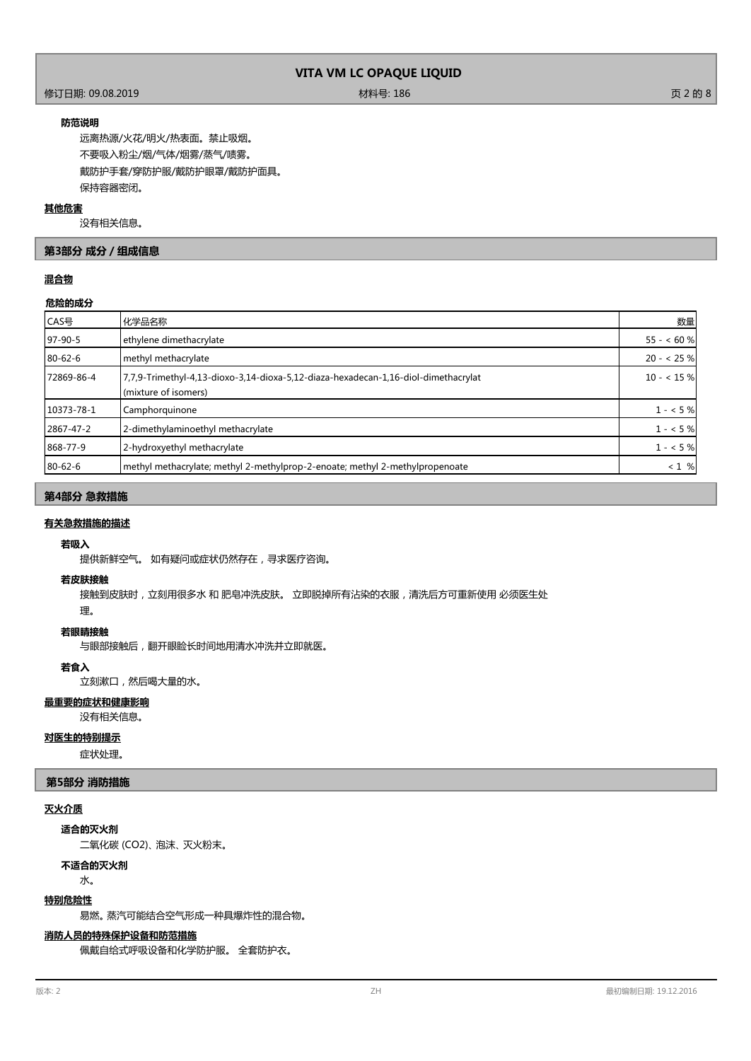## 修订日期: 09.08.2019 材料号: 186 页 2 的 8

#### **防范说明**

远离热源/火花/明火/热表面。禁止吸烟。 不要吸入粉尘/烟/气体/烟雾/蒸气/啧雾。 戴防护手套/穿防护服/戴防护眼罩/戴防护面具。 保持容器密闭。

#### **其他危害**

没有相关信息。

## **第3部分 成分/组成信息**

## **混合物**

#### **危险的成分**

| CAS号       | 化学品名称                                                                                                      | 数量          |
|------------|------------------------------------------------------------------------------------------------------------|-------------|
| $97-90-5$  | ethylene dimethacrylate                                                                                    | $55 - 60%$  |
| 80-62-6    | methyl methacrylate                                                                                        | $20 - 25%$  |
| 72869-86-4 | 7,7,9-Trimethyl-4,13-dioxo-3,14-dioxa-5,12-diaza-hexadecan-1,16-diol-dimethacrylat<br>(mixture of isomers) | $10 - 15%$  |
| 10373-78-1 | Camphorquinone                                                                                             | $1 - 5%$    |
| 2867-47-2  | 2-dimethylaminoethyl methacrylate                                                                          | $1 - 5%$    |
| 868-77-9   | 2-hydroxyethyl methacrylate                                                                                | $1 - 5\%$   |
| 80-62-6    | methyl methacrylate; methyl 2-methylprop-2-enoate; methyl 2-methylpropenoate                               | $< 1 \, \%$ |

## **第4部分 急救措施**

## **有关急救措施的描述**

## **若吸入**

提供新鲜空气。 如有疑问或症状仍然存在,寻求医疗咨询。

#### **若皮肤接触**

接触到皮肤时,立刻用很多水 和 肥皂冲洗皮肤。 立即脱掉所有沾染的衣服,清洗后方可重新使用 必须医生处

## 理。

## **若眼睛接触**

与眼部接触后,翻开眼睑长时间地用清水冲洗并立即就医。

#### **若食入**

立刻漱口,然后喝大量的水。

## **最重要的症状和健康影响**

没有相关信息。

## **对医生的特别提示**

症状处理。

#### **第5部分 消防措施**

## **灭火介质**

**适合的灭火剂**

二氧化碳 (CO2)、 泡沫、 灭火粉末。

## **不适合的灭火剂**

水。

#### **特别危险性**

易燃。 蒸汽可能结合空气形成一种具爆炸性的混合物。

#### **消防人员的特殊保护设备和防范措施**

佩戴自给式呼吸设备和化学防护服。 全套防护衣。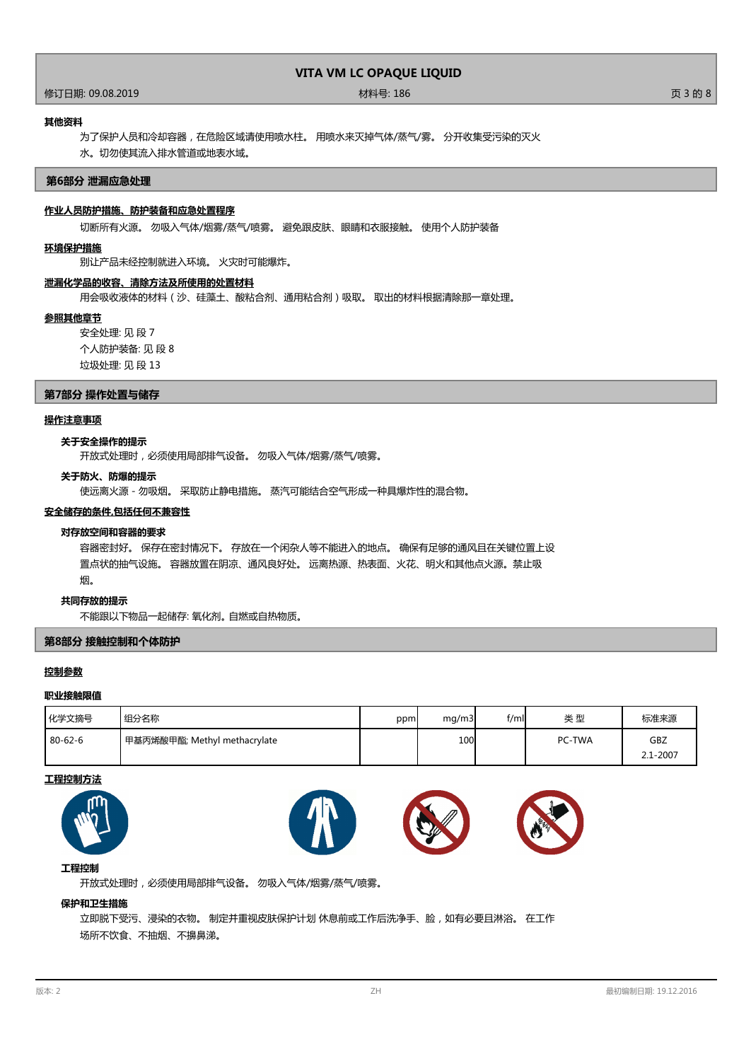修订日期: 09.08.2019 材料号: 186 页 3 的 8

#### **其他资料**

为了保护人员和冷却容器,在危险区域请使用喷水柱。 用喷水来灭掉气体/蒸气/雾。 分开收集受污染的灭火 水。切勿使其流入排水管道或地表水域。

#### **第6部分 泄漏应急处理**

## **作业人员防护措施、防护装备和应急处置程序**

切断所有火源。 勿吸入气体/烟雾/蒸气/喷雾。 避免跟皮肤、眼睛和衣服接触。 使用个人防护装备

#### **环境保护措施**

别让产品未经控制就进入环境。 火灾时可能爆炸。

#### **泄漏化学品的收容、清除方法及所使用的处置材料**

用会吸收液体的材料(沙、硅藻土、酸粘合剂、通用粘合剂)吸取。 取出的材料根据清除那一章处理。

#### **参照其他章节**

安全处理: 见 段 7 个人防护装备: 见 段 8 垃圾处理: 见 段 13

#### **第7部分 操作处置与储存**

#### **操作注意事项**

### **关于安全操作的提示**

开放式处理时,必须使用局部排气设备。 勿吸入气体/烟雾/蒸气/喷雾。

#### **关于防火、防爆的提示**

使远离火源 - 勿吸烟。 采取防止静电措施。 蒸汽可能结合空气形成一种具爆炸性的混合物。

#### **安全储存的条件,包括任何不兼容性**

#### **对存放空间和容器的要求**

容器密封好。 保存在密封情况下。 存放在一个闲杂人等不能进入的地点。 确保有足够的通风且在关键位置上设 置点状的抽气设施。 容器放置在阴凉、通风良好处。 远离热源、热表面、火花、明火和其他点火源。禁止吸 烟。

#### **共同存放的提示**

不能跟以下物品一起储存: 氧化剂。 自燃或自热物质。

#### **第8部分 接触控制和个体防护**

#### **控制参数**

## **职业接触限值**

| 化学文摘号         | 组分名称                         | ppm | mq/m3 | f/ml | 类型     | 标准来源         |
|---------------|------------------------------|-----|-------|------|--------|--------------|
| $80 - 62 - 6$ | 甲基丙烯酸甲酯; Methyl methacrylate |     | 100   |      | PC-TWA | GBZ          |
|               |                              |     |       |      |        | $2.1 - 2007$ |

#### **工程控制方法**





## **工程控制**

开放式处理时,必须使用局部排气设备。 勿吸入气体/烟雾/蒸气/喷雾。

#### **保护和卫生措施**

立即脱下受污、浸染的衣物。 制定并重视皮肤保护计划 休息前或工作后洗净手、脸,如有必要且淋浴。 在工作 场所不饮食、不抽烟、不擤鼻涕。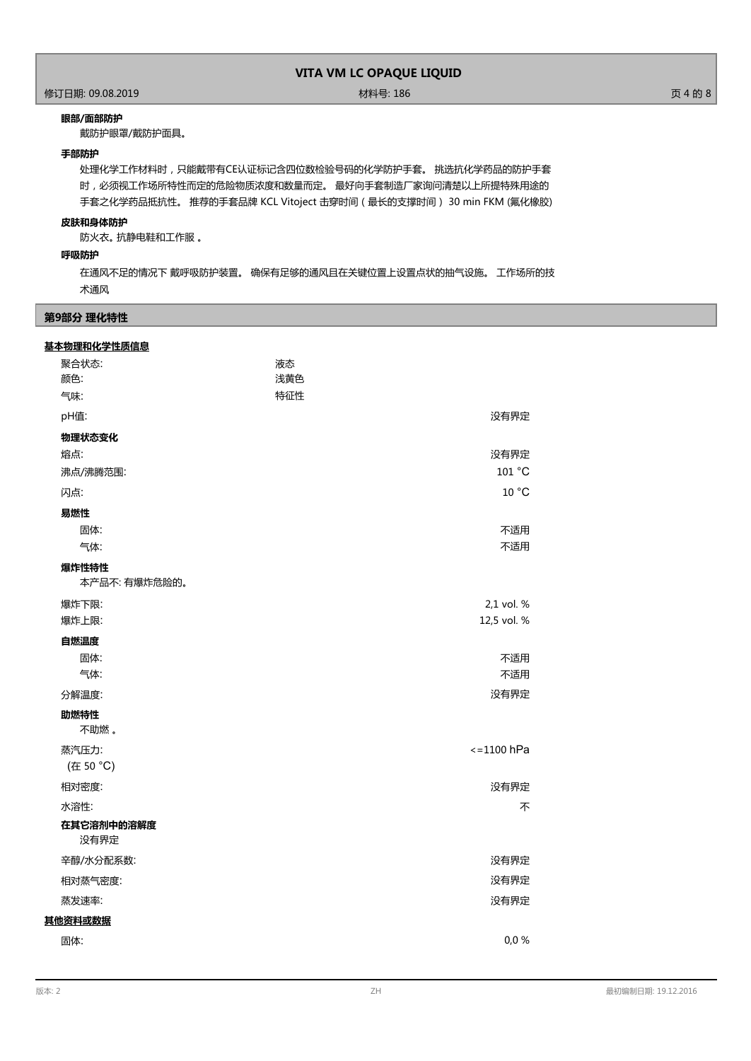## 作为<br>1999年 - 1999年 - 1999年 - 1999年 - 1999年 - 1999年 - 1999年 - 1999年 - 1999年 - 1999年 - 1999年 - 1999年 - 1999年 - 1999年<br>1999年 - 1999年 - 1999年 - 1999年 - 1999年 - 1999年 - 1999年 - 1999年 - 1999年 - 1999年 - 1999年 - 1999年 - 1999年 - 199

#### **眼部/面部防护**

戴防护眼罩/戴防护面具。

#### **手部防护**

处理化学工作材料时,只能戴带有CE认证标记含四位数检验号码的化学防护手套。 挑选抗化学药品的防护手套 时,必须视工作场所特性而定的危险物质浓度和数量而定。 最好向手套制造厂家询问清楚以上所提特殊用途的 手套之化学药品抵抗性。 推荐的手套品牌 KCL Vitoject 击穿时间(最长的支撑时间) 30 min FKM (氟化橡胶)

#### **皮肤和身体防护**

防火衣。 抗静电鞋和工作服 。

#### **呼吸防护**

在通风不足的情况下 戴呼吸防护装置。 确保有足够的通风且在关键位置上设置点状的抽气设施。 工作场所的技 术通风

#### **第9部分 理化特性**

#### **基本物理和化学性质信息**

| 聚合状态:                  | 液态  |                       |
|------------------------|-----|-----------------------|
| 颜色:                    | 浅黄色 |                       |
| 气味:                    | 特征性 |                       |
| pH值:                   |     | 没有界定                  |
| 物理状态变化                 |     |                       |
| 熔点:                    |     | 没有界定                  |
| 沸点/沸腾范围:               |     | 101 °C                |
| 闪点:                    |     | 10 °C                 |
| 易燃性                    |     |                       |
| 固体:                    |     | 不适用                   |
| 气体:                    |     | 不适用                   |
| 爆炸性特性<br>本产品不: 有爆炸危险的。 |     |                       |
| 爆炸下限:                  |     | 2,1 vol. %            |
| 爆炸上限:                  |     | 12,5 vol. %           |
| 自燃温度                   |     |                       |
| 固体:                    |     | 不适用                   |
| 气体:                    |     | 不适用                   |
| 分解温度:                  |     | 没有界定                  |
| 助燃特性<br>不助燃。           |     |                       |
| 蒸汽压力:                  |     | $\epsilon = 1100$ hPa |
| (在 50 °C)              |     |                       |
| 相对密度:                  |     | 没有界定                  |
| 水溶性:                   |     | 不                     |
| 在其它溶剂中的溶解度<br>没有界定     |     |                       |
| 辛醇/水分配系数:              |     | 没有界定                  |
| 相对蒸气密度:                |     | 没有界定                  |
| 蒸发速率:                  |     | 没有界定                  |
| 其他资料或数据                |     |                       |
| 固体:                    |     | 0,0%                  |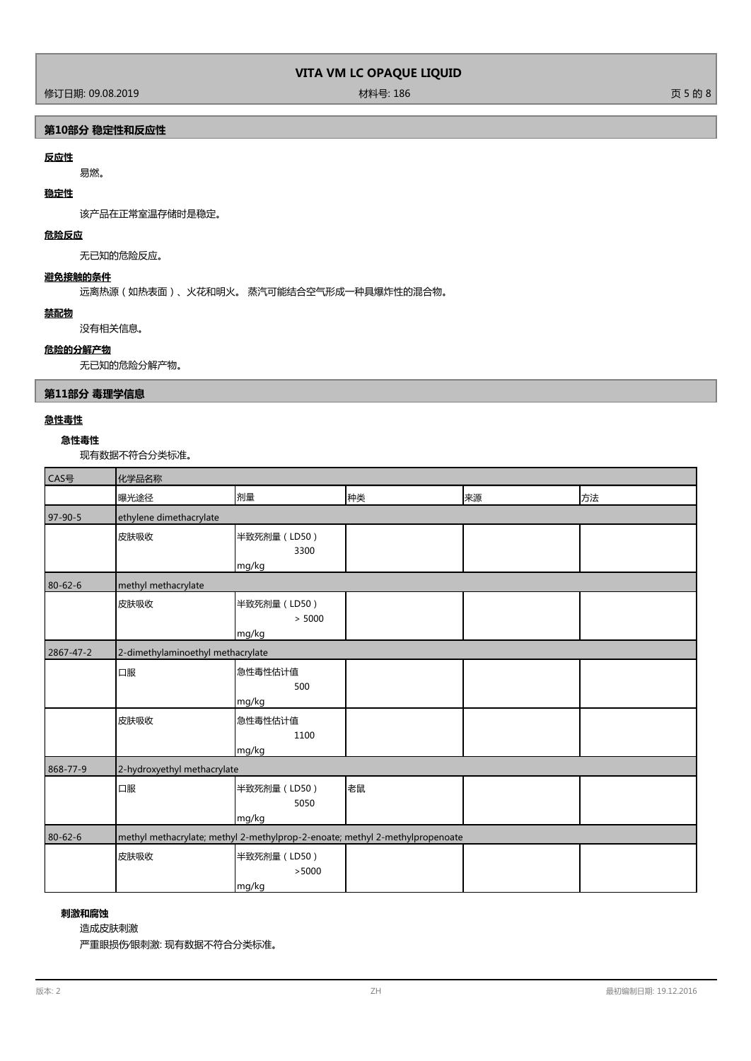修订日期: 09.08.2019 材料号: 186 页 5 的 8

## **第10部分 稳定性和反应性**

## **反应性**

易燃。

## **稳定性**

该产品在正常室温存储时是稳定。

## **危险反应**

无已知的危险反应。

## **避免接触的条件**

远离热源(如热表面)、火花和明火。 蒸汽可能结合空气形成一种具爆炸性的混合物。

## **禁配物**

没有相关信息。

## **危险的分解产物**

无已知的危险分解产物。

## **第11部分 毒理学信息**

## **急性毒性**

## **急性毒性**

现有数据不符合分类标准。

| CAS号      | 化学品名称                                                                        |                                 |    |    |    |
|-----------|------------------------------------------------------------------------------|---------------------------------|----|----|----|
|           | 曝光途径                                                                         | 剂量                              | 种类 | 来源 | 方法 |
| 97-90-5   | ethylene dimethacrylate                                                      |                                 |    |    |    |
|           | 皮肤吸收                                                                         | 半致死剂量 (LD50)<br>3300            |    |    |    |
| 80-62-6   | methyl methacrylate                                                          | mg/kg                           |    |    |    |
|           | 皮肤吸收                                                                         | 半致死剂量 (LD50)<br>> 5000<br>mg/kg |    |    |    |
| 2867-47-2 | 2-dimethylaminoethyl methacrylate                                            |                                 |    |    |    |
|           | 口服                                                                           | 急性毒性估计值<br>500<br>mg/kg         |    |    |    |
|           | 皮肤吸收                                                                         | 急性毒性估计值<br>1100<br>mg/kg        |    |    |    |
| 868-77-9  | 2-hydroxyethyl methacrylate                                                  |                                 |    |    |    |
|           | 口服                                                                           | 半致死剂量 (LD50)<br>5050<br>mg/kg   | 老鼠 |    |    |
| 80-62-6   | methyl methacrylate; methyl 2-methylprop-2-enoate; methyl 2-methylpropenoate |                                 |    |    |    |
|           | 皮肤吸收                                                                         | 半致死剂量 (LD50)<br>>5000<br>mg/kg  |    |    |    |

## **刺激和腐蚀**

造成皮肤刺激

严重眼损伤∕眼刺激: 现有数据不符合分类标准。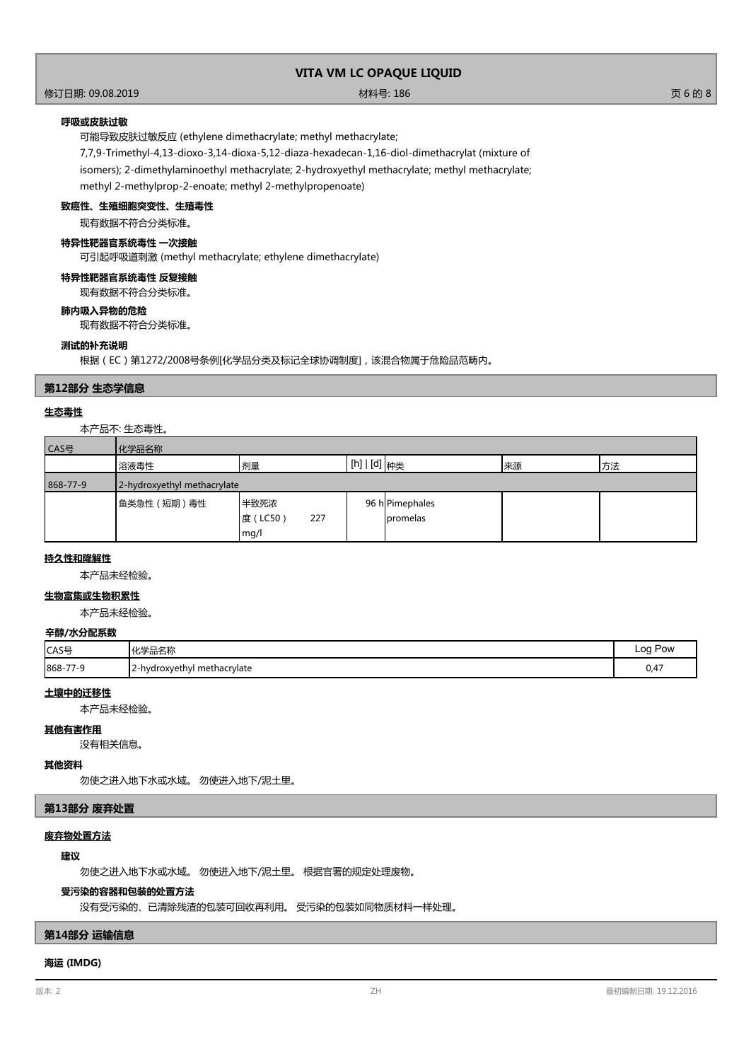修订日期: 09.08.2019 材料号: 186 页 6 的 8

### **呼吸或皮肤过敏**

可能导致皮肤过敏反应 (ethylene dimethacrylate; methyl methacrylate;

7,7,9-Trimethyl-4,13-dioxo-3,14-dioxa-5,12-diaza-hexadecan-1,16-diol-dimethacrylat (mixture of isomers); 2-dimethylaminoethyl methacrylate; 2-hydroxyethyl methacrylate; methyl methacrylate; methyl 2-methylprop-2-enoate; methyl 2-methylpropenoate)

### **致癌性、生殖细胞突变性、生殖毒性**

现有数据不符合分类标准。

## **特异性靶器官系统毒性 一次接触**

可引起呼吸道刺激 (methyl methacrylate; ethylene dimethacrylate)

#### **特异性靶器官系统毒性 反复接触**

现有数据不符合分类标准。

## **肺内吸入异物的危险**

现有数据不符合分类标准。

## **测试的补充说明**

根据(EC)第1272/2008号条例[化学品分类及标记全球协调制度],该混合物属于危险品范畴内。

#### **第12部分 生态学信息**

#### **生态毒性**

本产品不: 生态毒性。

| CAS号     | 化学品名称                       |                                |                                          |    |    |
|----------|-----------------------------|--------------------------------|------------------------------------------|----|----|
|          | 溶液毒性                        | 剂量                             | $\lfloor$ [h] $\lfloor$ [d] $\rfloor$ 种类 | 来源 | 方法 |
| 868-77-9 | 2-hydroxyethyl methacrylate |                                |                                          |    |    |
|          | 鱼类急性 (短期)毒性                 | 半致死浓<br>度(LC50)<br>227<br>mg/l | 96 h Pimephales<br><b>I</b> promelas     |    |    |

#### **持久性和降解性**

本产品未经检验。

## **生物富集或生物积累性**

本产品未经检验。

#### **辛醇/水分配系数**

| CAS号     | ソル当ロクあ<br>'1Ł<br>石山石砂                  | Log Pow |
|----------|----------------------------------------|---------|
| 868-77-9 | l methacrylate<br>12-hydroxyethyl<br>. | 0,47    |

#### **土壤中的迁移性**

本产品未经检验。

#### **其他有害作用**

没有相关信息。

#### **其他资料**

勿使之进入地下水或水域。 勿使进入地下/泥土里。

## **第13部分 废弃处置**

#### **废弃物处置方法**

#### **建议**

勿使之进入地下水或水域。 勿使进入地下/泥土里。 根据官署的规定处理废物。

## **受污染的容器和包装的处置方法**

没有受污染的、已清除残渣的包装可回收再利用。 受污染的包装如同物质材料一样处理。

## **第14部分 运输信息**

## **海运 (IMDG)**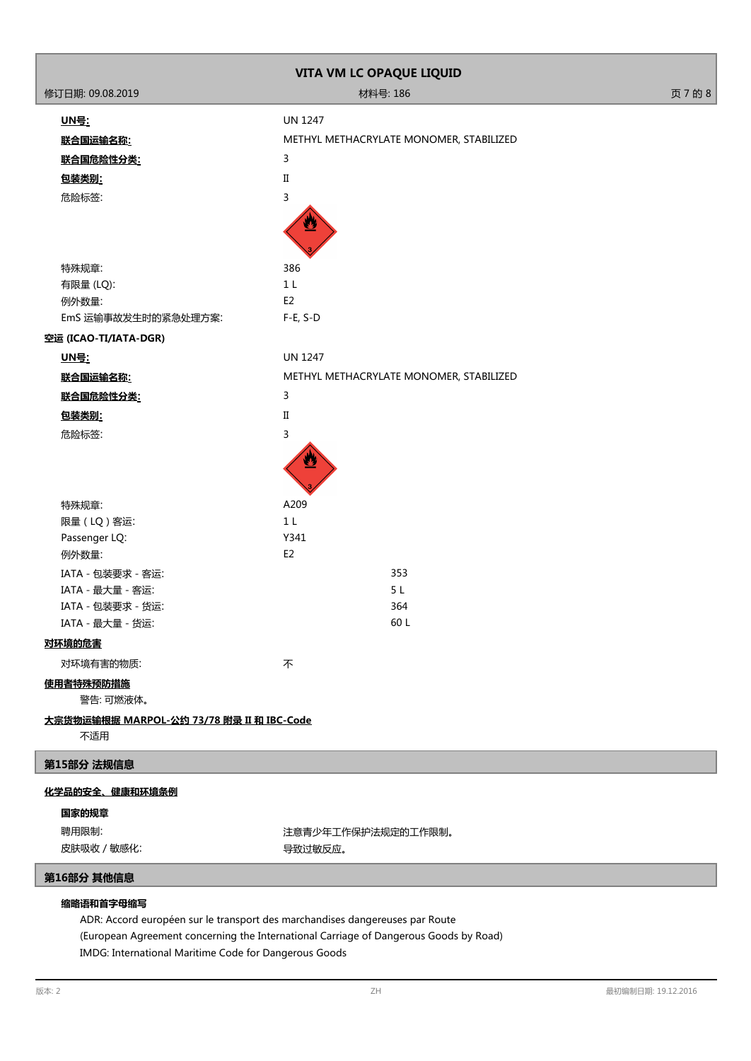|                                                  | VITA VM LC OPAQUE LIQUID                |         |
|--------------------------------------------------|-----------------------------------------|---------|
| 修订日期: 09.08.2019                                 | 材料号: 186                                | 页 7 的 8 |
| <u> UN号:</u>                                     | <b>UN 1247</b>                          |         |
| 联合国运输名称:                                         | METHYL METHACRYLATE MONOMER, STABILIZED |         |
| 联合国危险性分类:                                        | 3                                       |         |
| 包装类别:                                            | $\rm II$                                |         |
| 危险标签:                                            | 3                                       |         |
|                                                  |                                         |         |
| 特殊规章:                                            | 386                                     |         |
| 有限量 (LQ):                                        | 1 <sub>L</sub>                          |         |
| 例外数量:                                            | E <sub>2</sub><br>$F-E, S-D$            |         |
| EmS 运输事故发生时的紧急处理方案:                              |                                         |         |
| 空运 (ICAO-TI/IATA-DGR)<br><u> UN号:</u>            | <b>UN 1247</b>                          |         |
| 联合国运输名称:                                         | METHYL METHACRYLATE MONOMER, STABILIZED |         |
| 联合国危险性分类:                                        | $\mathbf{3}$                            |         |
| 包装类别:                                            | $\rm II$                                |         |
| 危险标签:                                            | 3                                       |         |
|                                                  |                                         |         |
| 特殊规章:                                            | A209                                    |         |
| 限量 (LQ) 客运:                                      | 1 <sub>L</sub>                          |         |
| Passenger LQ:                                    | Y341                                    |         |
| 例外数量:                                            | E <sub>2</sub>                          |         |
| IATA - 包装要求 - 客运:<br>IATA - 最大量 - 客运:            | 353<br>5L                               |         |
| IATA - 包装要求 - 货运:                                | 364                                     |         |
| IATA - 最大量 - 货运:                                 | 60 L                                    |         |
| 对环境的危害                                           |                                         |         |
| 对环境有害的物质:                                        | 不                                       |         |
| 使用者特殊预防措施<br>警告:可燃液体。                            |                                         |         |
| 大宗货物运输根据 MARPOL-公约 73/78 附录 II 和 IBC-Code<br>不适用 |                                         |         |
| 第15部分 法规信息                                       |                                         |         |
| 化学品的安全、健康和环境条例                                   |                                         |         |
| 国家的规章                                            |                                         |         |
| 聘用限制:                                            | 注意青少年工作保护法规定的工作限制。                      |         |
| 皮肤吸收 / 敏感化:                                      | 导致过敏反应。                                 |         |
| 第16部分 其他信息                                       |                                         |         |
| 缩略语和首字母缩写                                        |                                         |         |

ADR: Accord européen sur le transport des marchandises dangereuses par Route (European Agreement concerning the International Carriage of Dangerous Goods by Road) IMDG: International Maritime Code for Dangerous Goods

Ĭ

I